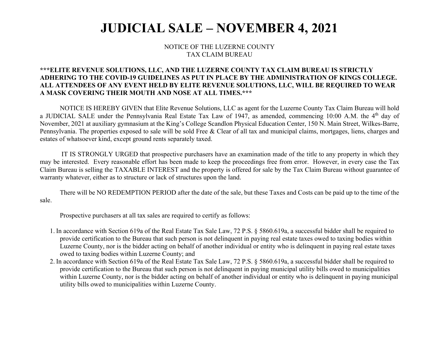## **JUDICIAL SALE – NOVEMBER 4, 2021**

## NOTICE OF THE LUZERNE COUNTY TAX CLAIM BUREAU

## **\*\*\*ELITE REVENUE SOLUTIONS, LLC, AND THE LUZERNE COUNTY TAX CLAIM BUREAU IS STRICTLY ADHERING TO THE COVID-19 GUIDELINES AS PUT IN PLACE BY THE ADMINISTRATION OF KINGS COLLEGE. ALL ATTENDEES OF ANY EVENT HELD BY ELITE REVENUE SOLUTIONS, LLC, WILL BE REQUIRED TO WEAR A MASK COVERING THEIR MOUTH AND NOSE AT ALL TIMES.\*\*\***

 NOTICE IS HEREBY GIVEN that Elite Revenue Solutions, LLC as agent for the Luzerne County Tax Claim Bureau will hold a JUDICIAL SALE under the Pennsylvania Real Estate Tax Law of 1947, as amended, commencing 10:00 A.M. the 4<sup>th</sup> day of November, 2021 at auxiliary gymnasium at the King's College Scandlon Physical Education Center, 150 N. Main Street, Wilkes-Barre, Pennsylvania. The properties exposed to sale will be sold Free & Clear of all tax and municipal claims, mortgages, liens, charges and estates of whatsoever kind, except ground rents separately taxed.

 IT IS STRONGLY URGED that prospective purchasers have an examination made of the title to any property in which they may be interested. Every reasonable effort has been made to keep the proceedings free from error. However, in every case the Tax Claim Bureau is selling the TAXABLE INTEREST and the property is offered for sale by the Tax Claim Bureau without guarantee of warranty whatever, either as to structure or lack of structures upon the land.

 There will be NO REDEMPTION PERIOD after the date of the sale, but these Taxes and Costs can be paid up to the time of the sale.

Prospective purchasers at all tax sales are required to certify as follows:

- 1. In accordance with Section 619a of the Real Estate Tax Sale Law, 72 P.S. § 5860.619a, a successful bidder shall be required to provide certification to the Bureau that such person is not delinquent in paying real estate taxes owed to taxing bodies within Luzerne County, nor is the bidder acting on behalf of another individual or entity who is delinquent in paying real estate taxes owed to taxing bodies within Luzerne County; and
- 2. In accordance with Section 619a of the Real Estate Tax Sale Law, 72 P.S. § 5860.619a, a successful bidder shall be required to provide certification to the Bureau that such person is not delinquent in paying municipal utility bills owed to municipalities within Luzerne County, nor is the bidder acting on behalf of another individual or entity who is delinquent in paying municipal utility bills owed to municipalities within Luzerne County.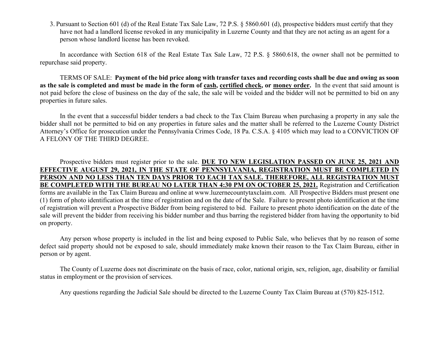3. Pursuant to Section 601 (d) of the Real Estate Tax Sale Law, 72 P.S. § 5860.601 (d), prospective bidders must certify that they have not had a landlord license revoked in any municipality in Luzerne County and that they are not acting as an agent for a person whose landlord license has been revoked.

In accordance with Section 618 of the Real Estate Tax Sale Law, 72 P.S. § 5860.618, the owner shall not be permitted to repurchase said property.

 TERMS OF SALE: **Payment of the bid price along with transfer taxes and recording costs shall be due and owing as soon as the sale is completed and must be made in the form of cash, certified check, or money order.** In the event that said amount is not paid before the close of business on the day of the sale, the sale will be voided and the bidder will not be permitted to bid on any properties in future sales.

In the event that a successful bidder tenders a bad check to the Tax Claim Bureau when purchasing a property in any sale the bidder shall not be permitted to bid on any properties in future sales and the matter shall be referred to the Luzerne County District Attorney's Office for prosecution under the Pennsylvania Crimes Code, 18 Pa. C.S.A. § 4105 which may lead to a CONVICTION OF A FELONY OF THE THIRD DEGREE.

Prospective bidders must register prior to the sale. **DUE TO NEW LEGISLATION PASSED ON JUNE 25, 2021 AND EFFECTIVE AUGUST 29, 2021, IN THE STATE OF PENNSYLVANIA, REGISTRATION MUST BE COMPLETED IN PERSON AND NO LESS THAN TEN DAYS PRIOR TO EACH TAX SALE. THEREFORE, ALL REGISTRATION MUST BE COMPLETED WITH THE BUREAU NO LATER THAN 4:30 PM ON OCTOBER 25, 2021.** Registration and Certification forms are available in the Tax Claim Bureau and online at www.luzernecountytaxclaim.com. All Prospective Bidders must present one (1) form of photo identification at the time of registration and on the date of the Sale. Failure to present photo identification at the time of registration will prevent a Prospective Bidder from being registered to bid. Failure to present photo identification on the date of the sale will prevent the bidder from receiving his bidder number and thus barring the registered bidder from having the opportunity to bid on property.

Any person whose property is included in the list and being exposed to Public Sale, who believes that by no reason of some defect said property should not be exposed to sale, should immediately make known their reason to the Tax Claim Bureau, either in person or by agent.

 The County of Luzerne does not discriminate on the basis of race, color, national origin, sex, religion, age, disability or familial status in employment or the provision of services.

Any questions regarding the Judicial Sale should be directed to the Luzerne County Tax Claim Bureau at (570) 825-1512.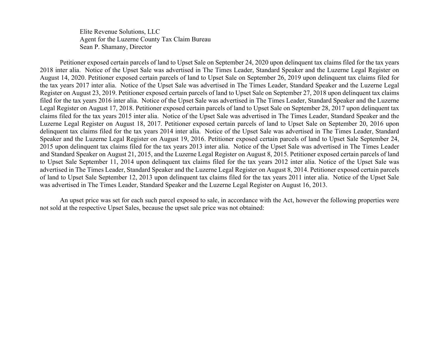Elite Revenue Solutions, LLC Agent for the Luzerne County Tax Claim Bureau Sean P. Shamany, Director

Petitioner exposed certain parcels of land to Upset Sale on September 24, 2020 upon delinquent tax claims filed for the tax years 2018 inter alia. Notice of the Upset Sale was advertised in The Times Leader, Standard Speaker and the Luzerne Legal Register on August 14, 2020. Petitioner exposed certain parcels of land to Upset Sale on September 26, 2019 upon delinquent tax claims filed for the tax years 2017 inter alia. Notice of the Upset Sale was advertised in The Times Leader, Standard Speaker and the Luzerne Legal Register on August 23, 2019. Petitioner exposed certain parcels of land to Upset Sale on September 27, 2018 upon delinquent tax claims filed for the tax years 2016 inter alia. Notice of the Upset Sale was advertised in The Times Leader, Standard Speaker and the Luzerne Legal Register on August 17, 2018. Petitioner exposed certain parcels of land to Upset Sale on September 28, 2017 upon delinquent tax claims filed for the tax years 2015 inter alia. Notice of the Upset Sale was advertised in The Times Leader, Standard Speaker and the Luzerne Legal Register on August 18, 2017. Petitioner exposed certain parcels of land to Upset Sale on September 20, 2016 upon delinquent tax claims filed for the tax years 2014 inter alia. Notice of the Upset Sale was advertised in The Times Leader, Standard Speaker and the Luzerne Legal Register on August 19, 2016. Petitioner exposed certain parcels of land to Upset Sale September 24, 2015 upon delinquent tax claims filed for the tax years 2013 inter alia. Notice of the Upset Sale was advertised in The Times Leader and Standard Speaker on August 21, 2015, and the Luzerne Legal Register on August 8, 2015. Petitioner exposed certain parcels of land to Upset Sale September 11, 2014 upon delinquent tax claims filed for the tax years 2012 inter alia. Notice of the Upset Sale was advertised in The Times Leader, Standard Speaker and the Luzerne Legal Register on August 8, 2014. Petitioner exposed certain parcels of land to Upset Sale September 12, 2013 upon delinquent tax claims filed for the tax years 2011 inter alia. Notice of the Upset Sale was advertised in The Times Leader, Standard Speaker and the Luzerne Legal Register on August 16, 2013.

An upset price was set for each such parcel exposed to sale, in accordance with the Act, however the following properties were not sold at the respective Upset Sales, because the upset sale price was not obtained: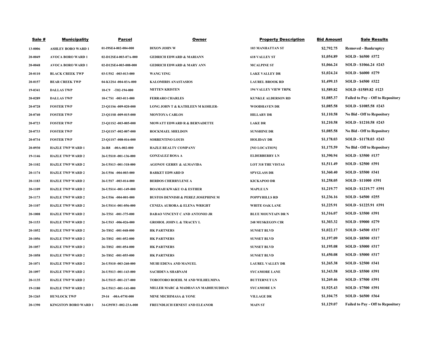| <b>Sale #</b> | <b>Municipality</b>         | <b>Parcel</b>                 | <b>Owner</b>                                  | <b>Property Description</b> | <b>Bid Amount</b> | <b>Sale Results</b>                      |
|---------------|-----------------------------|-------------------------------|-----------------------------------------------|-----------------------------|-------------------|------------------------------------------|
| 13-0006       | <b>ASHLEY BORO WARD 1</b>   | 01-I9SE4-002-004-000          | <b>DIXON JOHN W</b>                           | <b>103 MANHATTAN ST</b>     | \$2,792.75        | <b>Removed - Bankruptcy</b>              |
| 20-0049       | <b>AVOCA BORO WARD 1</b>    | 02-D12SE4-003-07A-000         | <b>GEDRICH EDWARD &amp; MARIANN</b>           | <b>618 VALLEY ST</b>        | \$1,054.89        | SOLD - \$6500 #372                       |
| 20-0048       | <b>AVOCA BORO WARD 1</b>    | 02-D12SE4-003-008-000         | <b>GEDRICH EDWARD &amp; MARY ANN</b>          | <b>MCALPINE ST</b>          | \$1,066.24        | SOLD - \$1066.24 #243                    |
| 20-0110       | <b>BLACK CREEK TWP</b>      | $03 - U5S2 - 003 - 013 - 000$ | <b>WANG YING</b>                              | <b>LAKE VALLEY DR</b>       | \$1,024.24        | SOLD - \$6000 #279                       |
| 20-0157       | <b>BEAR CREEK TWP</b>       | 04-K12S4 -004-03A-000         | <b>KALOMIRIS ANASTASIOS</b>                   | <b>LAUREL BROOK RD</b>      | \$1,499.15        | SOLD - \$4500 #322                       |
| 19-0341       | <b>DALLAS TWP</b>           | $10-C9$ -T02-194-000          | <b>MITTEN KRISTEN</b>                         | <b>194 VALLEY VIEW TRPK</b> | \$1,589.82        | SOLD -\$1589.82 #123                     |
| 20-0289       | <b>DALLAS TWP</b>           | 10-C7S1 -003-011-000          | <b>FERRARO CHARLES</b>                        | <b>KUNKLE ALDERSON RD</b>   | \$1,085.37        | <b>Failed to Pay - Off to Repository</b> |
| 20-0728       | <b>FOSTER TWP</b>           | 23-Q11S6-009-020-000          | <b>LONG JOHN T &amp; KATHLEEN M KOHLER-</b>   | <b>WOODHAVEN DR</b>         | \$1,085.58        | SOLD - \$1085.58 #243                    |
| 20-0740       | <b>FOSTER TWP</b>           | 23-Q11S8 -009-015-000         | <b>MONTOYA CARLOS</b>                         | <b>HILLARY DR</b>           | \$1,110.58        | <b>No Bid - Off to Repository</b>        |
| 20-0723       | <b>FOSTER TWP</b>           | 23-Q11S2 -003-005-000         | <b>MOWATT EDWARD R &amp; BERNADETTE</b>       | <b>LAKE DR</b>              | \$1,210.58        | SOLD - \$1210.58 #243                    |
| 20-0733       | <b>FOSTER TWP</b>           | 23-Q11S7 -002-007-000         | <b>ROCKMAEL SHELDON</b>                       | <b>SUNSHINE DR</b>          | \$1,085.58        | <b>No Bid - Off to Repository</b>        |
| 20-0734       | <b>FOSTER TWP</b>           | 23-Q11S7 -008-016-000         | <b>SORRENTINO LOUIS</b>                       | <b>HOLIDAY DR</b>           | \$1,178.03        | SOLD - \$1178.03 #243                    |
| 20-0930       | <b>HAZLE TWP WARD 1</b>     | 26-R8 -00A-002-000            | <b>HAZLE REALTY COMPANY</b>                   | [NO LOCATION]               | \$1,175.59        | <b>No Bid - Off to Repository</b>        |
| 19-1146       | <b>HAZLE TWP WARD 2</b>     | 26-U5S10-001-136-000          | <b>GONZALEZ ROSA A</b>                        | <b>ELDERBERRY LN</b>        | \$1,390.94        | SOLD - \$3500 #137                       |
| 20-1102       | <b>HAZLE TWP WARD 2</b>     | 26-U5S13 -001-318-000         | <b>AGONOY GERRY &amp; ALMAVIDA</b>            | <b>LOT 318 THE VISTAS</b>   | \$1,511.49        | SOLD - \$2500 #391                       |
| 20-1174       | <b>HAZLE TWP WARD 2</b>     | 26-U5S6 -004-003-000          | <b>BARKET EDWARD D</b>                        | <b>SPYGLASS DR</b>          | \$1,360.40        | SOLD - \$5500 #341                       |
| 20-1183       | <b>HAZLE TWP WARD 2</b>     | 26-U5S7 -003-014-000          | <b>BERDOS CHERRYLENE A</b>                    | <b>KICKAPOO DR</b>          | \$1,258.05        | SOLD - \$11000 #391                      |
| 20-1109       | <b>HAZLE TWP WARD 2</b>     | 26-U5S14 -001-149-000         | <b>BOAMAH KWAKU O &amp; ESTHER</b>            | <b>MAPLE LN</b>             | \$1,219.77        | SOLD - \$1219.77 #391                    |
| 20-1173       | <b>HAZLE TWP WARD 2</b>     | 26-U5S6 -004-001-000          | <b>BUSTOS DENNISH &amp; PEREZ JOSEPHINE M</b> | <b>POPPYHILLS RD</b>        | \$1,236.16        | SOLD - \$4500 #255                       |
| 20-1107       | <b>HAZLE TWP WARD 2</b>     | 26-U5S14 -001-056-000         | <b>CENIZA AURORA &amp; ELENA WRIGHT</b>       | <b>WHITE OAK LANE</b>       | \$1,225.91        | SOLD - \$1225.91 #391                    |
| 20-1008       | <b>HAZLE TWP WARD 2</b>     | 26-T5S1 -001-375-000          | <b>DABAO VINCENT C AND ANTONIO JR</b>         | <b>BLUE MOUNTAIN DR N</b>   | \$1,316.07        | SOLD - \$3500 #391                       |
| 20-1153       | <b>HAZLE TWP WARD 2</b>     | 26-U5S3 -006-026-000          | <b>GROHOL JOHN L &amp; TRACEY L</b>           | <b>248 MUSKEGON CIR</b>     | \$1,303.32        | SOLD - \$9000 #279                       |
| 20-1052       | <b>HAZLE TWP WARD 2</b>     | 26-T8S2 -001-048-000          | <b>HK PARTNERS</b>                            | <b>SUNSET BLVD</b>          | \$1,022.17        | SOLD - \$4500 #317                       |
| 20-1056       | <b>HAZLE TWP WARD 2</b>     | 26-T8S2 -001-052-000          | <b>HK PARTNERS</b>                            | <b>SUNSET BLVD</b>          | \$1,197.09        | SOLD - \$8500 #317                       |
| 20-1057       | <b>HAZLE TWP WARD 2</b>     | 26-T8S2 -001-054-000          | <b>HK PARTNERS</b>                            | <b>SUNSET BLVD</b>          | \$1,195.08        | SOLD - \$5000 #317                       |
| 20-1058       | <b>HAZLE TWP WARD 2</b>     | 26-T8S2 -001-055-000          | <b>HK PARTNERS</b>                            | <b>SUNSET BLVD</b>          | \$1,450.08        | SOLD - \$5000 #317                       |
| 20-1071       | <b>HAZLE TWP WARD 2</b>     | 26-U5S10 -003-260-000         | <b>MUHI EDENA AND MANUEL</b>                  | <b>LAUREL VALLEY DR</b>     | \$1,265.38        | SOLD - \$2500 #341                       |
| 20-1097       | <b>HAZLE TWP WARD 2</b>     | 26-U5S13 -001-143-000         | <b>SACHDEVA SHABNAM</b>                       | <b>SYCAMORE LANE</b>        | \$1,343.58        | SOLD - \$5500 #391                       |
| 20-1135       | <b>HAZLE TWP WARD 2</b>     | 26-U5S15 -001-217-000         | <b>TOROTORO ROEHL M AND WILHELMINA</b>        | <b>BUTTERNUT LN</b>         | \$1,269.46        | SOLD - \$7500 #391                       |
| 19-1180       | <b>HAZLE TWP WARD 2</b>     | 26-U5S13 -001-141-000         | MILLER MARC & MADHAVAN MADHUSUDHAN            | <b>SYCAMORE LN</b>          | \$1,925.43        | SOLD - \$7500 #391                       |
| 20-1265       | <b>HUNLOCK TWP</b>          | 29-I4 -00A-07M-000            | <b>MINE MICHIMASA &amp; YONE</b>              | <b>VILLAGE DR</b>           | \$1,104.75        | SOLD - \$6500 #364                       |
| 20-1390       | <b>KINGSTON BORO WARD 1</b> | 34-G9SW3 -002-23A-000         | <b>FREUNDLICH ERNEST AND ELEANOR</b>          | <b>MAIN ST</b>              | \$1,129.07        | <b>Failed to Pay - Off to Repository</b> |